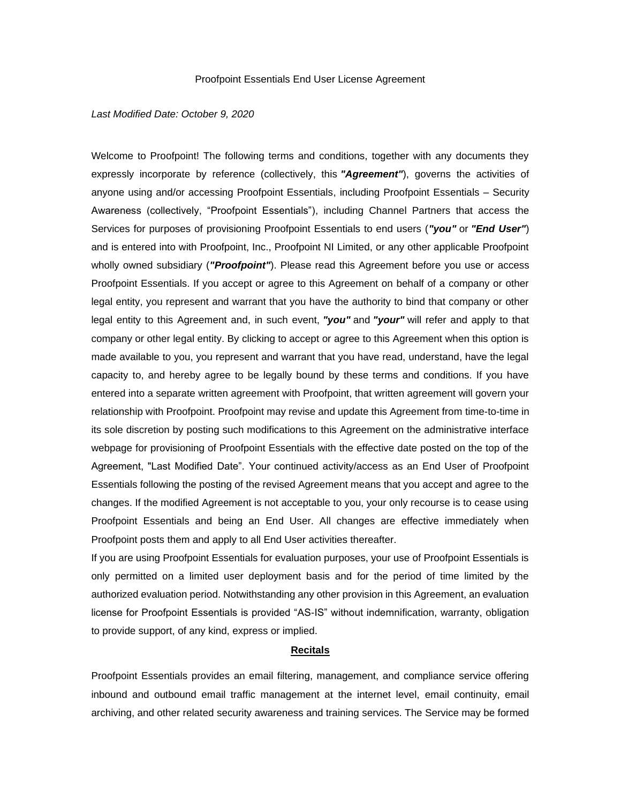#### Proofpoint Essentials End User License Agreement

#### *Last Modified Date: October 9, 2020*

Welcome to Proofpoint! The following terms and conditions, together with any documents they expressly incorporate by reference (collectively, this *"Agreement"*), governs the activities of anyone using and/or accessing Proofpoint Essentials, including Proofpoint Essentials – Security Awareness (collectively, "Proofpoint Essentials"), including Channel Partners that access the Services for purposes of provisioning Proofpoint Essentials to end users (*"you"* or *"End User"*) and is entered into with Proofpoint, Inc., Proofpoint NI Limited, or any other applicable Proofpoint wholly owned subsidiary (*"Proofpoint"*). Please read this Agreement before you use or access Proofpoint Essentials. If you accept or agree to this Agreement on behalf of a company or other legal entity, you represent and warrant that you have the authority to bind that company or other legal entity to this Agreement and, in such event, *"you"* and *"your"* will refer and apply to that company or other legal entity. By clicking to accept or agree to this Agreement when this option is made available to you, you represent and warrant that you have read, understand, have the legal capacity to, and hereby agree to be legally bound by these terms and conditions. If you have entered into a separate written agreement with Proofpoint, that written agreement will govern your relationship with Proofpoint. Proofpoint may revise and update this Agreement from time-to-time in its sole discretion by posting such modifications to this Agreement on the administrative interface webpage for provisioning of Proofpoint Essentials with the effective date posted on the top of the Agreement, "Last Modified Date". Your continued activity/access as an End User of Proofpoint Essentials following the posting of the revised Agreement means that you accept and agree to the changes. If the modified Agreement is not acceptable to you, your only recourse is to cease using Proofpoint Essentials and being an End User. All changes are effective immediately when Proofpoint posts them and apply to all End User activities thereafter.

If you are using Proofpoint Essentials for evaluation purposes, your use of Proofpoint Essentials is only permitted on a limited user deployment basis and for the period of time limited by the authorized evaluation period. Notwithstanding any other provision in this Agreement, an evaluation license for Proofpoint Essentials is provided "AS-IS" without indemnification, warranty, obligation to provide support, of any kind, express or implied.

#### **Recitals**

Proofpoint Essentials provides an email filtering, management, and compliance service offering inbound and outbound email traffic management at the internet level, email continuity, email archiving, and other related security awareness and training services. The Service may be formed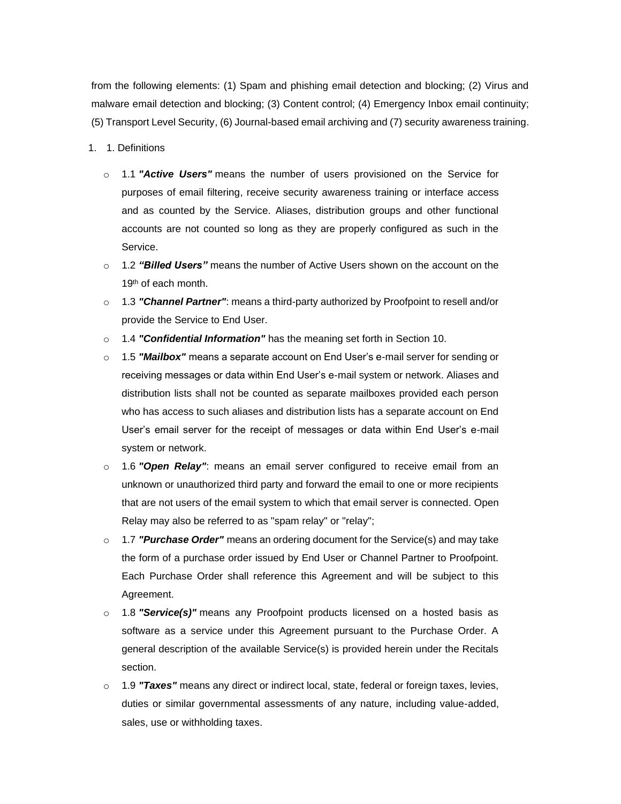from the following elements: (1) Spam and phishing email detection and blocking; (2) Virus and malware email detection and blocking; (3) Content control; (4) Emergency Inbox email continuity; (5) Transport Level Security, (6) Journal-based email archiving and (7) security awareness training.

- 1. 1. Definitions
	- o 1.1 *"Active Users"* means the number of users provisioned on the Service for purposes of email filtering, receive security awareness training or interface access and as counted by the Service. Aliases, distribution groups and other functional accounts are not counted so long as they are properly configured as such in the Service.
	- o 1.2 *"Billed Users"* means the number of Active Users shown on the account on the 19<sup>th</sup> of each month.
	- o 1.3 *"Channel Partner"*: means a third-party authorized by Proofpoint to resell and/or provide the Service to End User.
	- o 1.4 *"Confidential Information"* has the meaning set forth in Section 10.
	- o 1.5 *"Mailbox"* means a separate account on End User's e-mail server for sending or receiving messages or data within End User's e-mail system or network. Aliases and distribution lists shall not be counted as separate mailboxes provided each person who has access to such aliases and distribution lists has a separate account on End User's email server for the receipt of messages or data within End User's e-mail system or network.
	- o 1.6 *"Open Relay"*: means an email server configured to receive email from an unknown or unauthorized third party and forward the email to one or more recipients that are not users of the email system to which that email server is connected. Open Relay may also be referred to as "spam relay" or "relay";
	- o 1.7 *"Purchase Order"* means an ordering document for the Service(s) and may take the form of a purchase order issued by End User or Channel Partner to Proofpoint. Each Purchase Order shall reference this Agreement and will be subject to this Agreement.
	- o 1.8 *"Service(s)"* means any Proofpoint products licensed on a hosted basis as software as a service under this Agreement pursuant to the Purchase Order. A general description of the available Service(s) is provided herein under the Recitals section.
	- o 1.9 *"Taxes"* means any direct or indirect local, state, federal or foreign taxes, levies, duties or similar governmental assessments of any nature, including value-added, sales, use or withholding taxes.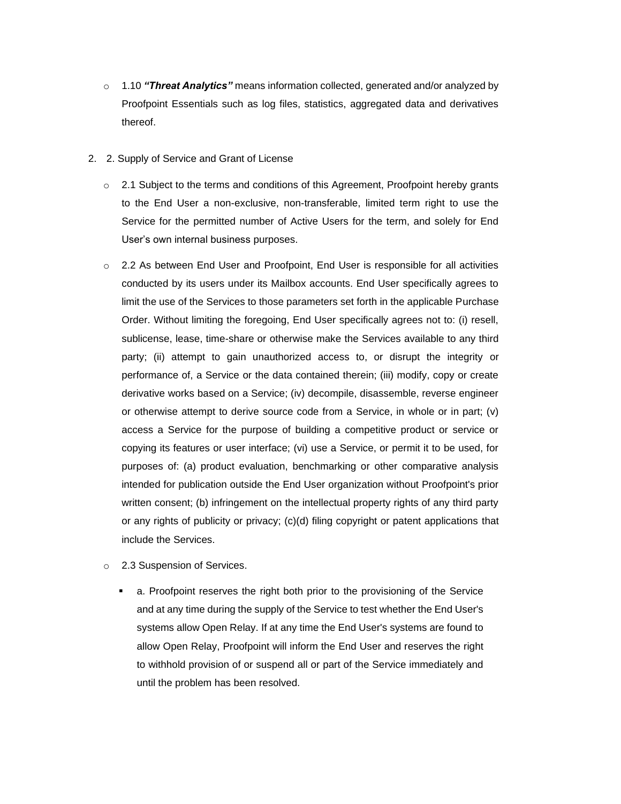- o 1.10 *"Threat Analytics"* means information collected, generated and/or analyzed by Proofpoint Essentials such as log files, statistics, aggregated data and derivatives thereof.
- 2. 2. Supply of Service and Grant of License
	- $\circ$  2.1 Subject to the terms and conditions of this Agreement, Proofpoint hereby grants to the End User a non-exclusive, non-transferable, limited term right to use the Service for the permitted number of Active Users for the term, and solely for End User's own internal business purposes.
	- $\circ$  2.2 As between End User and Proofpoint, End User is responsible for all activities conducted by its users under its Mailbox accounts. End User specifically agrees to limit the use of the Services to those parameters set forth in the applicable Purchase Order. Without limiting the foregoing, End User specifically agrees not to: (i) resell, sublicense, lease, time-share or otherwise make the Services available to any third party; (ii) attempt to gain unauthorized access to, or disrupt the integrity or performance of, a Service or the data contained therein; (iii) modify, copy or create derivative works based on a Service; (iv) decompile, disassemble, reverse engineer or otherwise attempt to derive source code from a Service, in whole or in part; (v) access a Service for the purpose of building a competitive product or service or copying its features or user interface; (vi) use a Service, or permit it to be used, for purposes of: (a) product evaluation, benchmarking or other comparative analysis intended for publication outside the End User organization without Proofpoint's prior written consent; (b) infringement on the intellectual property rights of any third party or any rights of publicity or privacy; (c)(d) filing copyright or patent applications that include the Services.
	- o 2.3 Suspension of Services.
		- a. Proofpoint reserves the right both prior to the provisioning of the Service and at any time during the supply of the Service to test whether the End User's systems allow Open Relay. If at any time the End User's systems are found to allow Open Relay, Proofpoint will inform the End User and reserves the right to withhold provision of or suspend all or part of the Service immediately and until the problem has been resolved.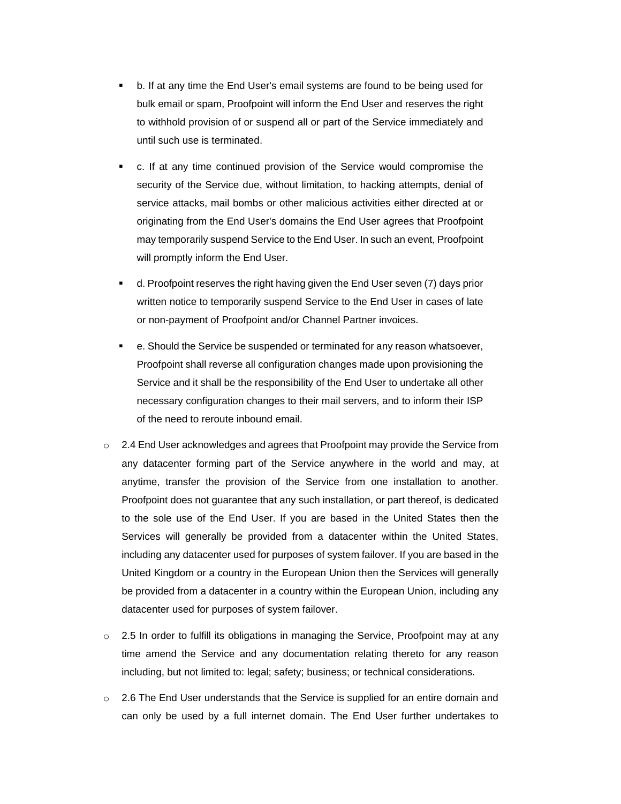- b. If at any time the End User's email systems are found to be being used for bulk email or spam, Proofpoint will inform the End User and reserves the right to withhold provision of or suspend all or part of the Service immediately and until such use is terminated.
- c. If at any time continued provision of the Service would compromise the security of the Service due, without limitation, to hacking attempts, denial of service attacks, mail bombs or other malicious activities either directed at or originating from the End User's domains the End User agrees that Proofpoint may temporarily suspend Service to the End User. In such an event, Proofpoint will promptly inform the End User.
- d. Proofpoint reserves the right having given the End User seven (7) days prior written notice to temporarily suspend Service to the End User in cases of late or non-payment of Proofpoint and/or Channel Partner invoices.
- e. Should the Service be suspended or terminated for any reason whatsoever, Proofpoint shall reverse all configuration changes made upon provisioning the Service and it shall be the responsibility of the End User to undertake all other necessary configuration changes to their mail servers, and to inform their ISP of the need to reroute inbound email.
- $\circ$  2.4 End User acknowledges and agrees that Proofpoint may provide the Service from any datacenter forming part of the Service anywhere in the world and may, at anytime, transfer the provision of the Service from one installation to another. Proofpoint does not guarantee that any such installation, or part thereof, is dedicated to the sole use of the End User. If you are based in the United States then the Services will generally be provided from a datacenter within the United States, including any datacenter used for purposes of system failover. If you are based in the United Kingdom or a country in the European Union then the Services will generally be provided from a datacenter in a country within the European Union, including any datacenter used for purposes of system failover.
- $\circ$  2.5 In order to fulfill its obligations in managing the Service, Proofpoint may at any time amend the Service and any documentation relating thereto for any reason including, but not limited to: legal; safety; business; or technical considerations.
- $\circ$  2.6 The End User understands that the Service is supplied for an entire domain and can only be used by a full internet domain. The End User further undertakes to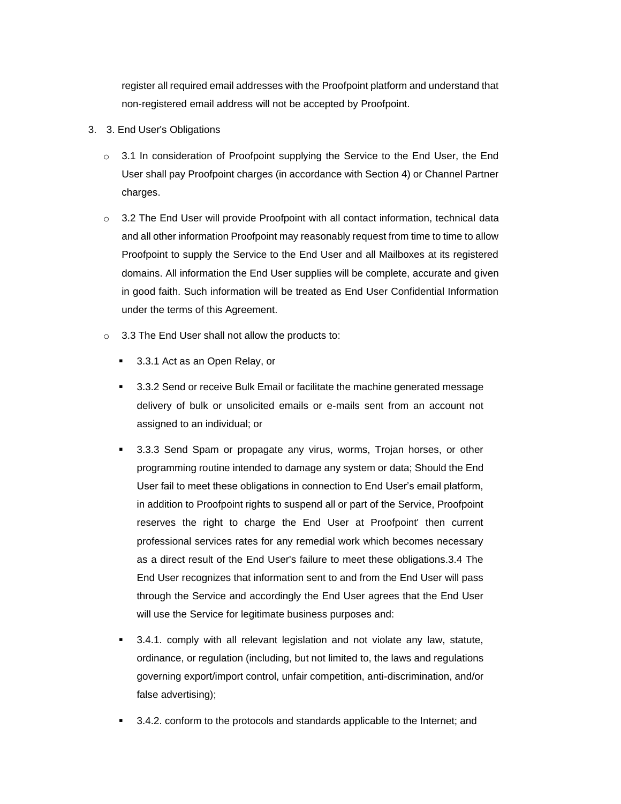register all required email addresses with the Proofpoint platform and understand that non-registered email address will not be accepted by Proofpoint.

- 3. 3. End User's Obligations
	- o 3.1 In consideration of Proofpoint supplying the Service to the End User, the End User shall pay Proofpoint charges (in accordance with Section 4) or Channel Partner charges.
	- $\circ$  3.2 The End User will provide Proofpoint with all contact information, technical data and all other information Proofpoint may reasonably request from time to time to allow Proofpoint to supply the Service to the End User and all Mailboxes at its registered domains. All information the End User supplies will be complete, accurate and given in good faith. Such information will be treated as End User Confidential Information under the terms of this Agreement.
	- o 3.3 The End User shall not allow the products to:
		- 3.3.1 Act as an Open Relay, or
		- 3.3.2 Send or receive Bulk Email or facilitate the machine generated message delivery of bulk or unsolicited emails or e-mails sent from an account not assigned to an individual; or
		- 3.3.3 Send Spam or propagate any virus, worms, Trojan horses, or other programming routine intended to damage any system or data; Should the End User fail to meet these obligations in connection to End User's email platform, in addition to Proofpoint rights to suspend all or part of the Service, Proofpoint reserves the right to charge the End User at Proofpoint' then current professional services rates for any remedial work which becomes necessary as a direct result of the End User's failure to meet these obligations.3.4 The End User recognizes that information sent to and from the End User will pass through the Service and accordingly the End User agrees that the End User will use the Service for legitimate business purposes and:
		- 3.4.1. comply with all relevant legislation and not violate any law, statute, ordinance, or regulation (including, but not limited to, the laws and regulations governing export/import control, unfair competition, anti-discrimination, and/or false advertising);
		- 3.4.2. conform to the protocols and standards applicable to the Internet; and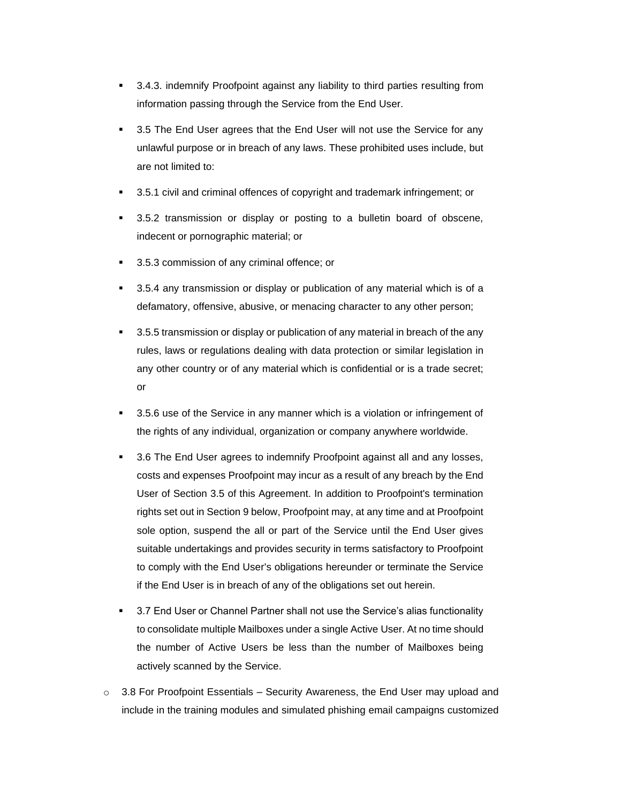- 3.4.3. indemnify Proofpoint against any liability to third parties resulting from information passing through the Service from the End User.
- 3.5 The End User agrees that the End User will not use the Service for any unlawful purpose or in breach of any laws. These prohibited uses include, but are not limited to:
- 3.5.1 civil and criminal offences of copyright and trademark infringement; or
- 3.5.2 transmission or display or posting to a bulletin board of obscene, indecent or pornographic material; or
- 3.5.3 commission of any criminal offence; or
- 3.5.4 any transmission or display or publication of any material which is of a defamatory, offensive, abusive, or menacing character to any other person;
- 3.5.5 transmission or display or publication of any material in breach of the any rules, laws or regulations dealing with data protection or similar legislation in any other country or of any material which is confidential or is a trade secret; or
- 3.5.6 use of the Service in any manner which is a violation or infringement of the rights of any individual, organization or company anywhere worldwide.
- 3.6 The End User agrees to indemnify Proofpoint against all and any losses, costs and expenses Proofpoint may incur as a result of any breach by the End User of Section 3.5 of this Agreement. In addition to Proofpoint's termination rights set out in Section 9 below, Proofpoint may, at any time and at Proofpoint sole option, suspend the all or part of the Service until the End User gives suitable undertakings and provides security in terms satisfactory to Proofpoint to comply with the End User's obligations hereunder or terminate the Service if the End User is in breach of any of the obligations set out herein.
- 3.7 End User or Channel Partner shall not use the Service's alias functionality to consolidate multiple Mailboxes under a single Active User. At no time should the number of Active Users be less than the number of Mailboxes being actively scanned by the Service.
- $\circ$  3.8 For Proofpoint Essentials Security Awareness, the End User may upload and include in the training modules and simulated phishing email campaigns customized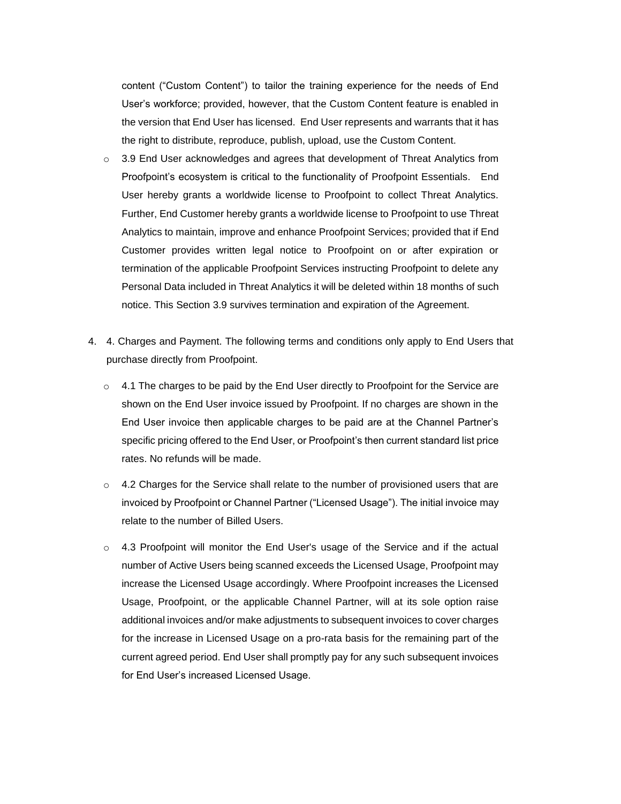content ("Custom Content") to tailor the training experience for the needs of End User's workforce; provided, however, that the Custom Content feature is enabled in the version that End User has licensed. End User represents and warrants that it has the right to distribute, reproduce, publish, upload, use the Custom Content.

- $\circ$  3.9 End User acknowledges and agrees that development of Threat Analytics from Proofpoint's ecosystem is critical to the functionality of Proofpoint Essentials. End User hereby grants a worldwide license to Proofpoint to collect Threat Analytics. Further, End Customer hereby grants a worldwide license to Proofpoint to use Threat Analytics to maintain, improve and enhance Proofpoint Services; provided that if End Customer provides written legal notice to Proofpoint on or after expiration or termination of the applicable Proofpoint Services instructing Proofpoint to delete any Personal Data included in Threat Analytics it will be deleted within 18 months of such notice. This Section 3.9 survives termination and expiration of the Agreement.
- 4. 4. Charges and Payment. The following terms and conditions only apply to End Users that purchase directly from Proofpoint.
	- $\circ$  4.1 The charges to be paid by the End User directly to Proofpoint for the Service are shown on the End User invoice issued by Proofpoint. If no charges are shown in the End User invoice then applicable charges to be paid are at the Channel Partner's specific pricing offered to the End User, or Proofpoint's then current standard list price rates. No refunds will be made.
	- $\circ$  4.2 Charges for the Service shall relate to the number of provisioned users that are invoiced by Proofpoint or Channel Partner ("Licensed Usage"). The initial invoice may relate to the number of Billed Users.
	- $\circ$  4.3 Proofpoint will monitor the End User's usage of the Service and if the actual number of Active Users being scanned exceeds the Licensed Usage, Proofpoint may increase the Licensed Usage accordingly. Where Proofpoint increases the Licensed Usage, Proofpoint, or the applicable Channel Partner, will at its sole option raise additional invoices and/or make adjustments to subsequent invoices to cover charges for the increase in Licensed Usage on a pro-rata basis for the remaining part of the current agreed period. End User shall promptly pay for any such subsequent invoices for End User's increased Licensed Usage.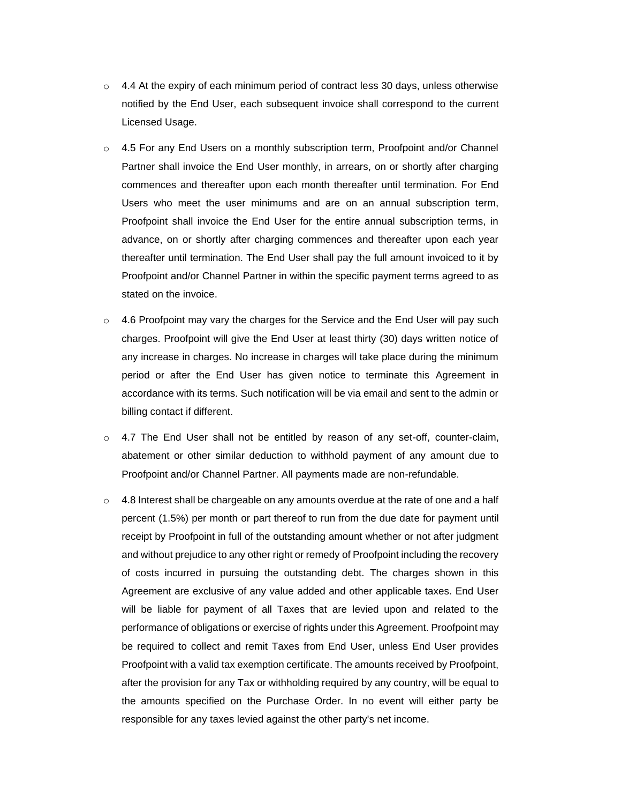- $\circ$  4.4 At the expiry of each minimum period of contract less 30 days, unless otherwise notified by the End User, each subsequent invoice shall correspond to the current Licensed Usage.
- $\circ$  4.5 For any End Users on a monthly subscription term, Proofpoint and/or Channel Partner shall invoice the End User monthly, in arrears, on or shortly after charging commences and thereafter upon each month thereafter until termination. For End Users who meet the user minimums and are on an annual subscription term, Proofpoint shall invoice the End User for the entire annual subscription terms, in advance, on or shortly after charging commences and thereafter upon each year thereafter until termination. The End User shall pay the full amount invoiced to it by Proofpoint and/or Channel Partner in within the specific payment terms agreed to as stated on the invoice.
- $\circ$  4.6 Proofpoint may vary the charges for the Service and the End User will pay such charges. Proofpoint will give the End User at least thirty (30) days written notice of any increase in charges. No increase in charges will take place during the minimum period or after the End User has given notice to terminate this Agreement in accordance with its terms. Such notification will be via email and sent to the admin or billing contact if different.
- $\circ$  4.7 The End User shall not be entitled by reason of any set-off, counter-claim, abatement or other similar deduction to withhold payment of any amount due to Proofpoint and/or Channel Partner. All payments made are non-refundable.
- $\circ$  4.8 Interest shall be chargeable on any amounts overdue at the rate of one and a half percent (1.5%) per month or part thereof to run from the due date for payment until receipt by Proofpoint in full of the outstanding amount whether or not after judgment and without prejudice to any other right or remedy of Proofpoint including the recovery of costs incurred in pursuing the outstanding debt. The charges shown in this Agreement are exclusive of any value added and other applicable taxes. End User will be liable for payment of all Taxes that are levied upon and related to the performance of obligations or exercise of rights under this Agreement. Proofpoint may be required to collect and remit Taxes from End User, unless End User provides Proofpoint with a valid tax exemption certificate. The amounts received by Proofpoint, after the provision for any Tax or withholding required by any country, will be equal to the amounts specified on the Purchase Order. In no event will either party be responsible for any taxes levied against the other party's net income.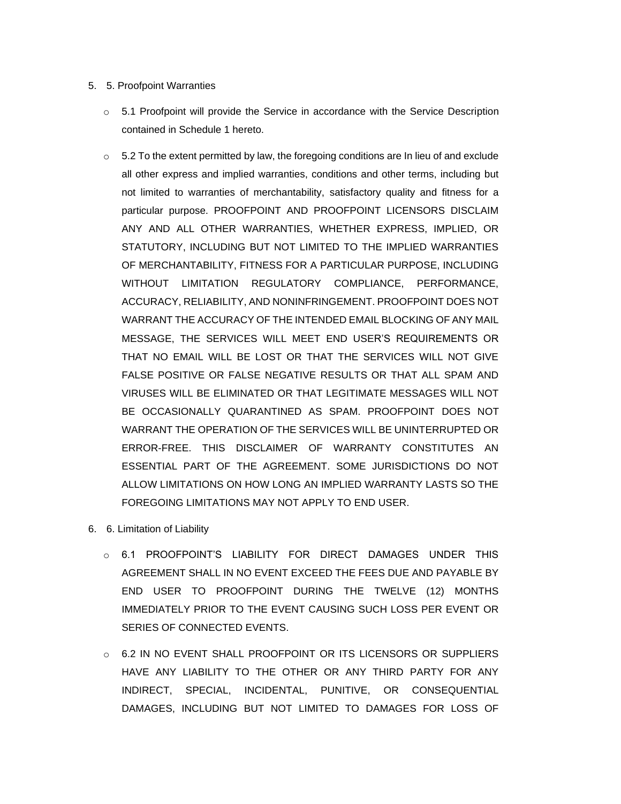# 5. 5. Proofpoint Warranties

- o 5.1 Proofpoint will provide the Service in accordance with the Service Description contained in Schedule 1 hereto.
- $\circ$  5.2 To the extent permitted by law, the foregoing conditions are In lieu of and exclude all other express and implied warranties, conditions and other terms, including but not limited to warranties of merchantability, satisfactory quality and fitness for a particular purpose. PROOFPOINT AND PROOFPOINT LICENSORS DISCLAIM ANY AND ALL OTHER WARRANTIES, WHETHER EXPRESS, IMPLIED, OR STATUTORY, INCLUDING BUT NOT LIMITED TO THE IMPLIED WARRANTIES OF MERCHANTABILITY, FITNESS FOR A PARTICULAR PURPOSE, INCLUDING WITHOUT LIMITATION REGULATORY COMPLIANCE, PERFORMANCE, ACCURACY, RELIABILITY, AND NONINFRINGEMENT. PROOFPOINT DOES NOT WARRANT THE ACCURACY OF THE INTENDED EMAIL BLOCKING OF ANY MAIL MESSAGE, THE SERVICES WILL MEET END USER'S REQUIREMENTS OR THAT NO EMAIL WILL BE LOST OR THAT THE SERVICES WILL NOT GIVE FALSE POSITIVE OR FALSE NEGATIVE RESULTS OR THAT ALL SPAM AND VIRUSES WILL BE ELIMINATED OR THAT LEGITIMATE MESSAGES WILL NOT BE OCCASIONALLY QUARANTINED AS SPAM. PROOFPOINT DOES NOT WARRANT THE OPERATION OF THE SERVICES WILL BE UNINTERRUPTED OR ERROR-FREE. THIS DISCLAIMER OF WARRANTY CONSTITUTES AN ESSENTIAL PART OF THE AGREEMENT. SOME JURISDICTIONS DO NOT ALLOW LIMITATIONS ON HOW LONG AN IMPLIED WARRANTY LASTS SO THE FOREGOING LIMITATIONS MAY NOT APPLY TO END USER.
- 6. 6. Limitation of Liability
	- o 6.1 PROOFPOINT'S LIABILITY FOR DIRECT DAMAGES UNDER THIS AGREEMENT SHALL IN NO EVENT EXCEED THE FEES DUE AND PAYABLE BY END USER TO PROOFPOINT DURING THE TWELVE (12) MONTHS IMMEDIATELY PRIOR TO THE EVENT CAUSING SUCH LOSS PER EVENT OR SERIES OF CONNECTED EVENTS.
	- o 6.2 IN NO EVENT SHALL PROOFPOINT OR ITS LICENSORS OR SUPPLIERS HAVE ANY LIABILITY TO THE OTHER OR ANY THIRD PARTY FOR ANY INDIRECT, SPECIAL, INCIDENTAL, PUNITIVE, OR CONSEQUENTIAL DAMAGES, INCLUDING BUT NOT LIMITED TO DAMAGES FOR LOSS OF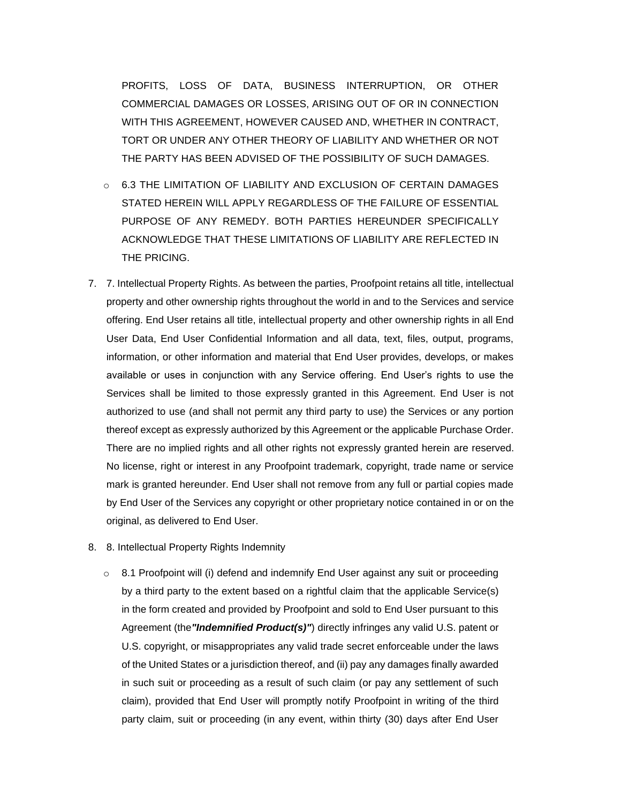PROFITS, LOSS OF DATA, BUSINESS INTERRUPTION, OR OTHER COMMERCIAL DAMAGES OR LOSSES, ARISING OUT OF OR IN CONNECTION WITH THIS AGREEMENT, HOWEVER CAUSED AND, WHETHER IN CONTRACT, TORT OR UNDER ANY OTHER THEORY OF LIABILITY AND WHETHER OR NOT THE PARTY HAS BEEN ADVISED OF THE POSSIBILITY OF SUCH DAMAGES.

- o 6.3 THE LIMITATION OF LIABILITY AND EXCLUSION OF CERTAIN DAMAGES STATED HEREIN WILL APPLY REGARDLESS OF THE FAILURE OF ESSENTIAL PURPOSE OF ANY REMEDY. BOTH PARTIES HEREUNDER SPECIFICALLY ACKNOWLEDGE THAT THESE LIMITATIONS OF LIABILITY ARE REFLECTED IN THE PRICING.
- 7. 7. Intellectual Property Rights. As between the parties, Proofpoint retains all title, intellectual property and other ownership rights throughout the world in and to the Services and service offering. End User retains all title, intellectual property and other ownership rights in all End User Data, End User Confidential Information and all data, text, files, output, programs, information, or other information and material that End User provides, develops, or makes available or uses in conjunction with any Service offering. End User's rights to use the Services shall be limited to those expressly granted in this Agreement. End User is not authorized to use (and shall not permit any third party to use) the Services or any portion thereof except as expressly authorized by this Agreement or the applicable Purchase Order. There are no implied rights and all other rights not expressly granted herein are reserved. No license, right or interest in any Proofpoint trademark, copyright, trade name or service mark is granted hereunder. End User shall not remove from any full or partial copies made by End User of the Services any copyright or other proprietary notice contained in or on the original, as delivered to End User.
- 8. 8. Intellectual Property Rights Indemnity
	- $\circ$  8.1 Proofpoint will (i) defend and indemnify End User against any suit or proceeding by a third party to the extent based on a rightful claim that the applicable Service(s) in the form created and provided by Proofpoint and sold to End User pursuant to this Agreement (the*"Indemnified Product(s)"*) directly infringes any valid U.S. patent or U.S. copyright, or misappropriates any valid trade secret enforceable under the laws of the United States or a jurisdiction thereof, and (ii) pay any damages finally awarded in such suit or proceeding as a result of such claim (or pay any settlement of such claim), provided that End User will promptly notify Proofpoint in writing of the third party claim, suit or proceeding (in any event, within thirty (30) days after End User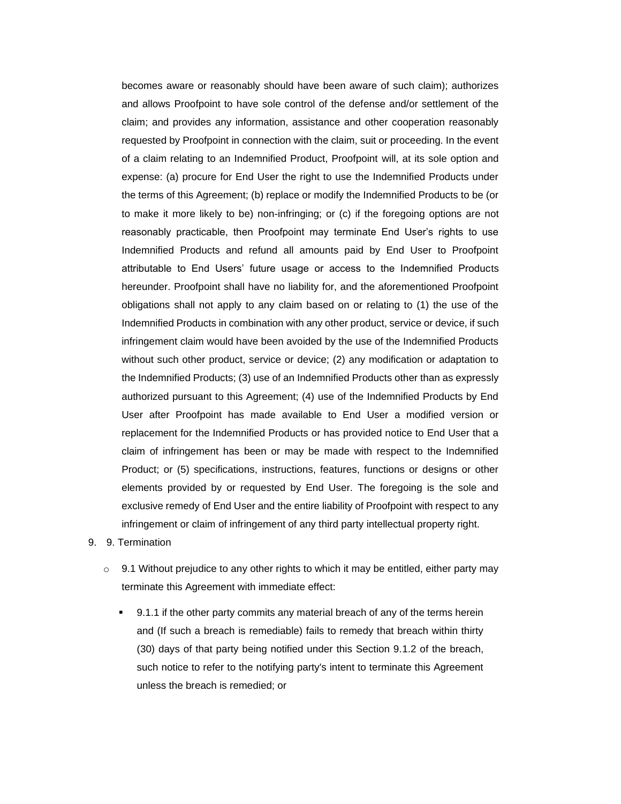becomes aware or reasonably should have been aware of such claim); authorizes and allows Proofpoint to have sole control of the defense and/or settlement of the claim; and provides any information, assistance and other cooperation reasonably requested by Proofpoint in connection with the claim, suit or proceeding. In the event of a claim relating to an Indemnified Product, Proofpoint will, at its sole option and expense: (a) procure for End User the right to use the Indemnified Products under the terms of this Agreement; (b) replace or modify the Indemnified Products to be (or to make it more likely to be) non-infringing; or (c) if the foregoing options are not reasonably practicable, then Proofpoint may terminate End User's rights to use Indemnified Products and refund all amounts paid by End User to Proofpoint attributable to End Users' future usage or access to the Indemnified Products hereunder. Proofpoint shall have no liability for, and the aforementioned Proofpoint obligations shall not apply to any claim based on or relating to (1) the use of the Indemnified Products in combination with any other product, service or device, if such infringement claim would have been avoided by the use of the Indemnified Products without such other product, service or device; (2) any modification or adaptation to the Indemnified Products; (3) use of an Indemnified Products other than as expressly authorized pursuant to this Agreement; (4) use of the Indemnified Products by End User after Proofpoint has made available to End User a modified version or replacement for the Indemnified Products or has provided notice to End User that a claim of infringement has been or may be made with respect to the Indemnified Product; or (5) specifications, instructions, features, functions or designs or other elements provided by or requested by End User. The foregoing is the sole and exclusive remedy of End User and the entire liability of Proofpoint with respect to any infringement or claim of infringement of any third party intellectual property right.

- 9. 9. Termination
	- $\circ$  9.1 Without prejudice to any other rights to which it may be entitled, either party may terminate this Agreement with immediate effect:
		- 9.1.1 if the other party commits any material breach of any of the terms herein and (If such a breach is remediable) fails to remedy that breach within thirty (30) days of that party being notified under this Section 9.1.2 of the breach, such notice to refer to the notifying party's intent to terminate this Agreement unless the breach is remedied; or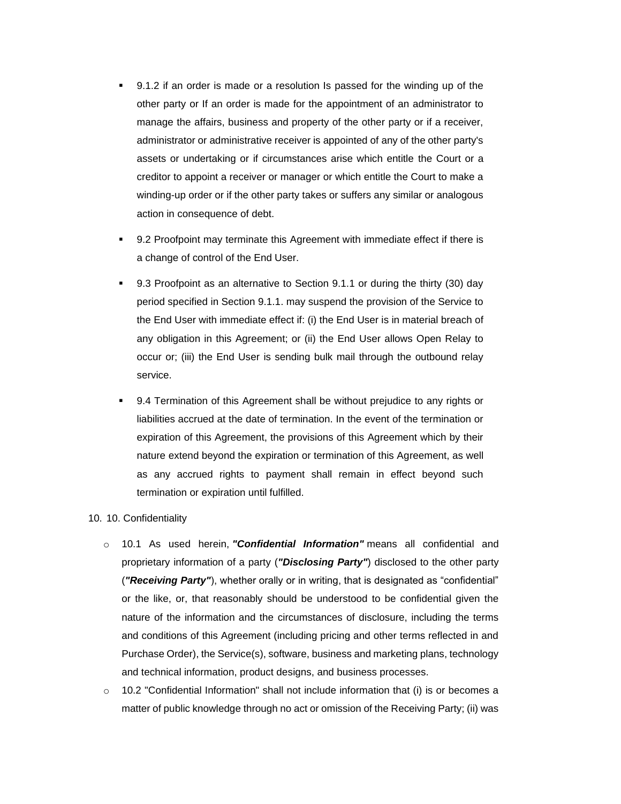- 9.1.2 if an order is made or a resolution Is passed for the winding up of the other party or If an order is made for the appointment of an administrator to manage the affairs, business and property of the other party or if a receiver, administrator or administrative receiver is appointed of any of the other party's assets or undertaking or if circumstances arise which entitle the Court or a creditor to appoint a receiver or manager or which entitle the Court to make a winding-up order or if the other party takes or suffers any similar or analogous action in consequence of debt.
- 9.2 Proofpoint may terminate this Agreement with immediate effect if there is a change of control of the End User.
- 9.3 Proofpoint as an alternative to Section 9.1.1 or during the thirty (30) day period specified in Section 9.1.1. may suspend the provision of the Service to the End User with immediate effect if: (i) the End User is in material breach of any obligation in this Agreement; or (ii) the End User allows Open Relay to occur or; (iii) the End User is sending bulk mail through the outbound relay service.
- 9.4 Termination of this Agreement shall be without prejudice to any rights or liabilities accrued at the date of termination. In the event of the termination or expiration of this Agreement, the provisions of this Agreement which by their nature extend beyond the expiration or termination of this Agreement, as well as any accrued rights to payment shall remain in effect beyond such termination or expiration until fulfilled.

## 10. 10. Confidentiality

- o 10.1 As used herein, *"Confidential Information"* means all confidential and proprietary information of a party (*"Disclosing Party"*) disclosed to the other party (*"Receiving Party"*), whether orally or in writing, that is designated as "confidential" or the like, or, that reasonably should be understood to be confidential given the nature of the information and the circumstances of disclosure, including the terms and conditions of this Agreement (including pricing and other terms reflected in and Purchase Order), the Service(s), software, business and marketing plans, technology and technical information, product designs, and business processes.
- $\circ$  10.2 "Confidential Information" shall not include information that (i) is or becomes a matter of public knowledge through no act or omission of the Receiving Party; (ii) was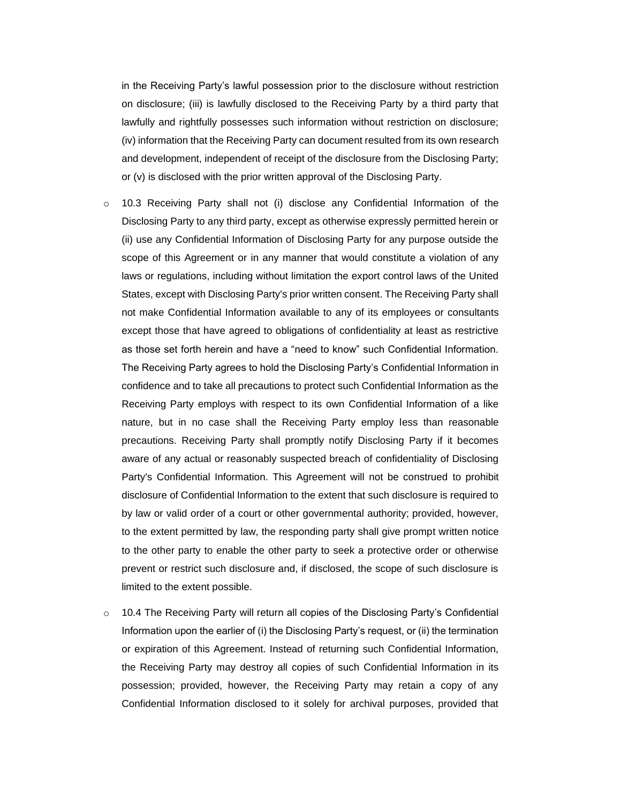in the Receiving Party's lawful possession prior to the disclosure without restriction on disclosure; (iii) is lawfully disclosed to the Receiving Party by a third party that lawfully and rightfully possesses such information without restriction on disclosure; (iv) information that the Receiving Party can document resulted from its own research and development, independent of receipt of the disclosure from the Disclosing Party; or (v) is disclosed with the prior written approval of the Disclosing Party.

- $\circ$  10.3 Receiving Party shall not (i) disclose any Confidential Information of the Disclosing Party to any third party, except as otherwise expressly permitted herein or (ii) use any Confidential Information of Disclosing Party for any purpose outside the scope of this Agreement or in any manner that would constitute a violation of any laws or regulations, including without limitation the export control laws of the United States, except with Disclosing Party's prior written consent. The Receiving Party shall not make Confidential Information available to any of its employees or consultants except those that have agreed to obligations of confidentiality at least as restrictive as those set forth herein and have a "need to know" such Confidential Information. The Receiving Party agrees to hold the Disclosing Party's Confidential Information in confidence and to take all precautions to protect such Confidential Information as the Receiving Party employs with respect to its own Confidential Information of a like nature, but in no case shall the Receiving Party employ less than reasonable precautions. Receiving Party shall promptly notify Disclosing Party if it becomes aware of any actual or reasonably suspected breach of confidentiality of Disclosing Party's Confidential Information. This Agreement will not be construed to prohibit disclosure of Confidential Information to the extent that such disclosure is required to by law or valid order of a court or other governmental authority; provided, however, to the extent permitted by law, the responding party shall give prompt written notice to the other party to enable the other party to seek a protective order or otherwise prevent or restrict such disclosure and, if disclosed, the scope of such disclosure is limited to the extent possible.
- $\circ$  10.4 The Receiving Party will return all copies of the Disclosing Party's Confidential Information upon the earlier of (i) the Disclosing Party's request, or (ii) the termination or expiration of this Agreement. Instead of returning such Confidential Information, the Receiving Party may destroy all copies of such Confidential Information in its possession; provided, however, the Receiving Party may retain a copy of any Confidential Information disclosed to it solely for archival purposes, provided that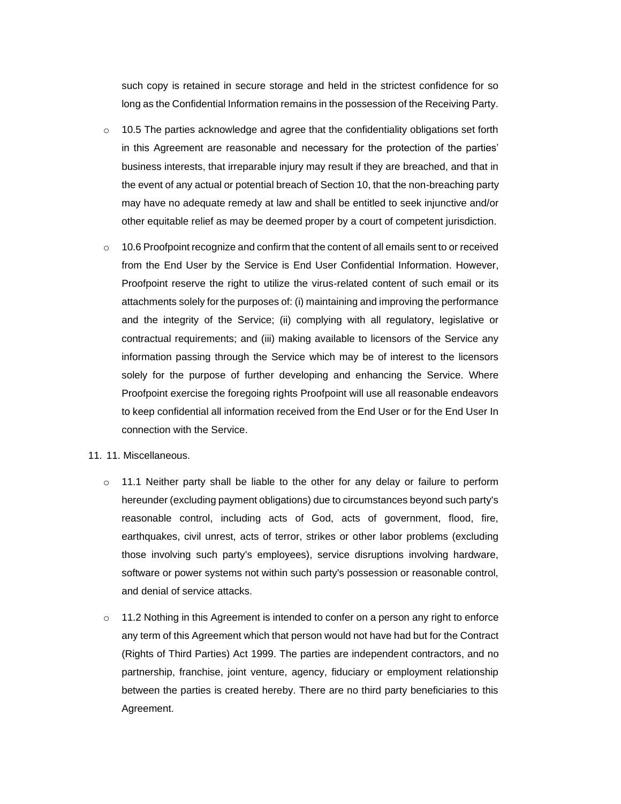such copy is retained in secure storage and held in the strictest confidence for so long as the Confidential Information remains in the possession of the Receiving Party.

- $\circ$  10.5 The parties acknowledge and agree that the confidentiality obligations set forth in this Agreement are reasonable and necessary for the protection of the parties' business interests, that irreparable injury may result if they are breached, and that in the event of any actual or potential breach of Section 10, that the non-breaching party may have no adequate remedy at law and shall be entitled to seek injunctive and/or other equitable relief as may be deemed proper by a court of competent jurisdiction.
- $\circ$  10.6 Proofpoint recognize and confirm that the content of all emails sent to or received from the End User by the Service is End User Confidential Information. However, Proofpoint reserve the right to utilize the virus-related content of such email or its attachments solely for the purposes of: (i) maintaining and improving the performance and the integrity of the Service; (ii) complying with all regulatory, legislative or contractual requirements; and (iii) making available to licensors of the Service any information passing through the Service which may be of interest to the licensors solely for the purpose of further developing and enhancing the Service. Where Proofpoint exercise the foregoing rights Proofpoint will use all reasonable endeavors to keep confidential all information received from the End User or for the End User In connection with the Service.
- 11. 11. Miscellaneous.
	- $\circ$  11.1 Neither party shall be liable to the other for any delay or failure to perform hereunder (excluding payment obligations) due to circumstances beyond such party's reasonable control, including acts of God, acts of government, flood, fire, earthquakes, civil unrest, acts of terror, strikes or other labor problems (excluding those involving such party's employees), service disruptions involving hardware, software or power systems not within such party's possession or reasonable control, and denial of service attacks.
	- o 11.2 Nothing in this Agreement is intended to confer on a person any right to enforce any term of this Agreement which that person would not have had but for the Contract (Rights of Third Parties) Act 1999. The parties are independent contractors, and no partnership, franchise, joint venture, agency, fiduciary or employment relationship between the parties is created hereby. There are no third party beneficiaries to this Agreement.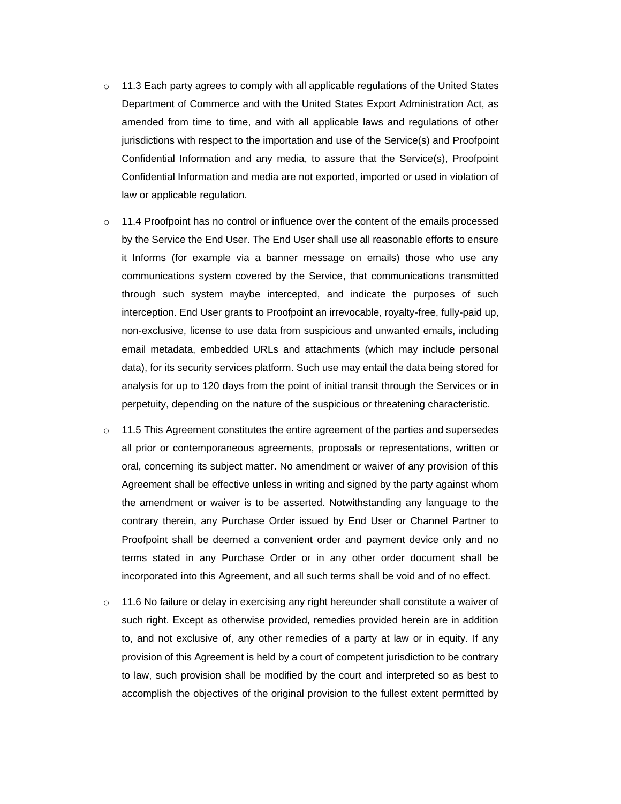- $\circ$  11.3 Each party agrees to comply with all applicable regulations of the United States Department of Commerce and with the United States Export Administration Act, as amended from time to time, and with all applicable laws and regulations of other jurisdictions with respect to the importation and use of the Service(s) and Proofpoint Confidential Information and any media, to assure that the Service(s), Proofpoint Confidential Information and media are not exported, imported or used in violation of law or applicable regulation.
- $\circ$  11.4 Proofpoint has no control or influence over the content of the emails processed by the Service the End User. The End User shall use all reasonable efforts to ensure it Informs (for example via a banner message on emails) those who use any communications system covered by the Service, that communications transmitted through such system maybe intercepted, and indicate the purposes of such interception. End User grants to Proofpoint an irrevocable, royalty-free, fully-paid up, non-exclusive, license to use data from suspicious and unwanted emails, including email metadata, embedded URLs and attachments (which may include personal data), for its security services platform. Such use may entail the data being stored for analysis for up to 120 days from the point of initial transit through the Services or in perpetuity, depending on the nature of the suspicious or threatening characteristic.
- $\circ$  11.5 This Agreement constitutes the entire agreement of the parties and supersedes all prior or contemporaneous agreements, proposals or representations, written or oral, concerning its subject matter. No amendment or waiver of any provision of this Agreement shall be effective unless in writing and signed by the party against whom the amendment or waiver is to be asserted. Notwithstanding any language to the contrary therein, any Purchase Order issued by End User or Channel Partner to Proofpoint shall be deemed a convenient order and payment device only and no terms stated in any Purchase Order or in any other order document shall be incorporated into this Agreement, and all such terms shall be void and of no effect.
- $\circ$  11.6 No failure or delay in exercising any right hereunder shall constitute a waiver of such right. Except as otherwise provided, remedies provided herein are in addition to, and not exclusive of, any other remedies of a party at law or in equity. If any provision of this Agreement is held by a court of competent jurisdiction to be contrary to law, such provision shall be modified by the court and interpreted so as best to accomplish the objectives of the original provision to the fullest extent permitted by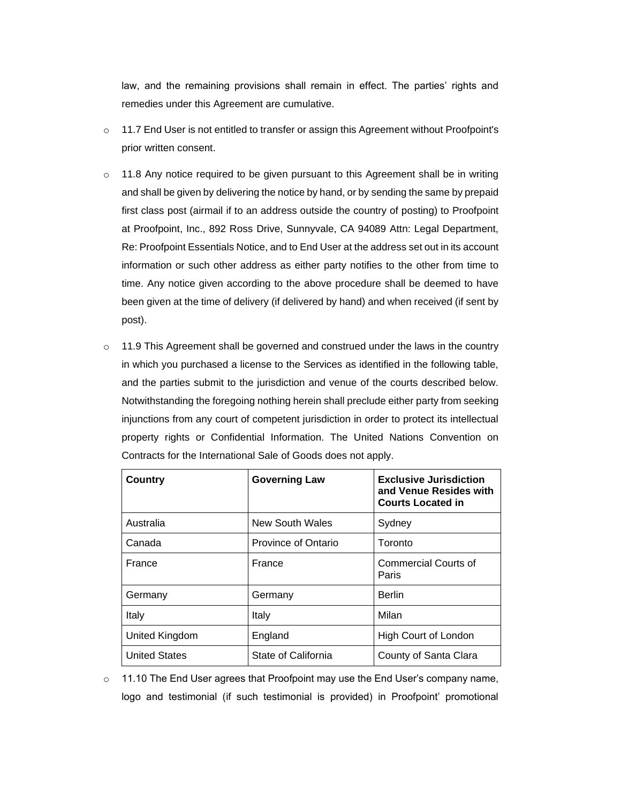law, and the remaining provisions shall remain in effect. The parties' rights and remedies under this Agreement are cumulative.

- $\circ$  11.7 End User is not entitled to transfer or assign this Agreement without Proofpoint's prior written consent.
- $\circ$  11.8 Any notice required to be given pursuant to this Agreement shall be in writing and shall be given by delivering the notice by hand, or by sending the same by prepaid first class post (airmail if to an address outside the country of posting) to Proofpoint at Proofpoint, Inc., 892 Ross Drive, Sunnyvale, CA 94089 Attn: Legal Department, Re: Proofpoint Essentials Notice, and to End User at the address set out in its account information or such other address as either party notifies to the other from time to time. Any notice given according to the above procedure shall be deemed to have been given at the time of delivery (if delivered by hand) and when received (if sent by post).
- $\circ$  11.9 This Agreement shall be governed and construed under the laws in the country in which you purchased a license to the Services as identified in the following table, and the parties submit to the jurisdiction and venue of the courts described below. Notwithstanding the foregoing nothing herein shall preclude either party from seeking injunctions from any court of competent jurisdiction in order to protect its intellectual property rights or Confidential Information. The United Nations Convention on Contracts for the International Sale of Goods does not apply.

| Country              | <b>Governing Law</b>   | <b>Exclusive Jurisdiction</b><br>and Venue Resides with<br><b>Courts Located in</b> |
|----------------------|------------------------|-------------------------------------------------------------------------------------|
| Australia            | <b>New South Wales</b> | Sydney                                                                              |
| Canada               | Province of Ontario    | Toronto                                                                             |
| France               | France                 | Commercial Courts of<br>Paris                                                       |
| Germany              | Germany                | <b>Berlin</b>                                                                       |
| Italy                | Italy                  | Milan                                                                               |
| United Kingdom       | England                | High Court of London                                                                |
| <b>United States</b> | State of California    | County of Santa Clara                                                               |

 $\circ$  11.10 The End User agrees that Proofpoint may use the End User's company name, logo and testimonial (if such testimonial is provided) in Proofpoint' promotional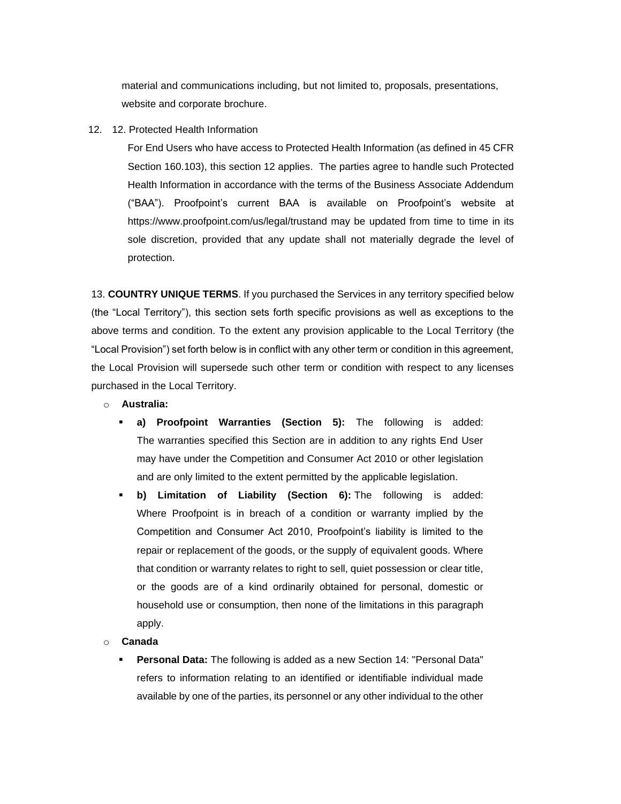material and communications including, but not limited to, proposals, presentations, website and corporate brochure.

12. 12. Protected Health Information

For End Users who have access to Protected Health Information (as defined in 45 CFR Section 160.103), this section 12 applies. The parties agree to handle such Protected Health Information in accordance with the terms of the Business Associate Addendum ("BAA"). Proofpoint's current BAA is available on Proofpoint's website at [https://www.proofpoint.com/us/legal/trusta](https://www.proofpoint.com/us/legal/trust)nd may be updated from time to time in its sole discretion, provided that any update shall not materially degrade the level of protection.

13. **COUNTRY UNIQUE TERMS**. If you purchased the Services in any territory specified below (the "Local Territory"), this section sets forth specific provisions as well as exceptions to the above terms and condition. To the extent any provision applicable to the Local Territory (the "Local Provision") set forth below is in conflict with any other term or condition in this agreement, the Local Provision will supersede such other term or condition with respect to any licenses purchased in the Local Territory.

- o **Australia:**
	- **a) Proofpoint Warranties (Section 5):** The following is added: The warranties specified this Section are in addition to any rights End User may have under the Competition and Consumer Act 2010 or other legislation and are only limited to the extent permitted by the applicable legislation.
	- **b) Limitation of Liability (Section 6):** The following is added: Where Proofpoint is in breach of a condition or warranty implied by the Competition and Consumer Act 2010, Proofpoint's liability is limited to the repair or replacement of the goods, or the supply of equivalent goods. Where that condition or warranty relates to right to sell, quiet possession or clear title, or the goods are of a kind ordinarily obtained for personal, domestic or household use or consumption, then none of the limitations in this paragraph apply.
- o **Canada**
	- **Personal Data:** The following is added as a new Section 14: "Personal Data" refers to information relating to an identified or identifiable individual made available by one of the parties, its personnel or any other individual to the other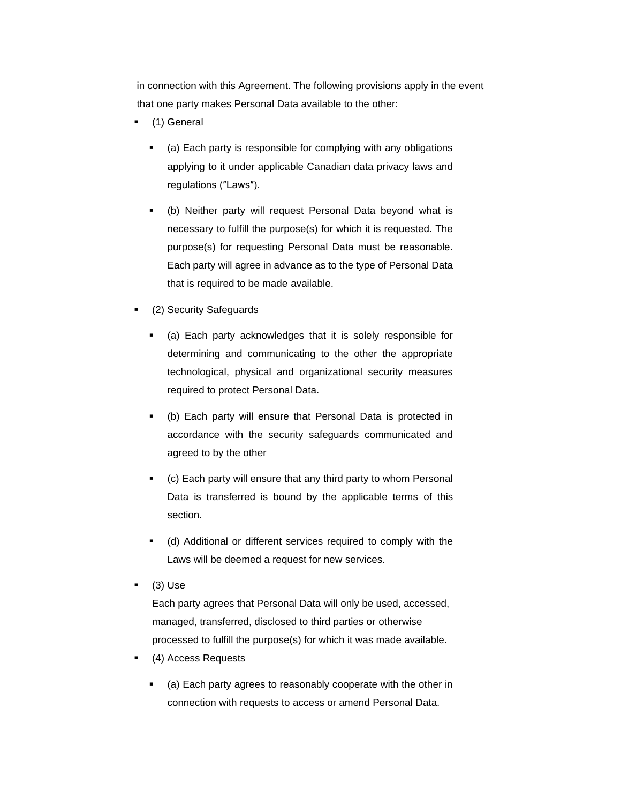in connection with this Agreement. The following provisions apply in the event that one party makes Personal Data available to the other:

- (1) General
	- (a) Each party is responsible for complying with any obligations applying to it under applicable Canadian data privacy laws and regulations (″Laws″).
	- (b) Neither party will request Personal Data beyond what is necessary to fulfill the purpose(s) for which it is requested. The purpose(s) for requesting Personal Data must be reasonable. Each party will agree in advance as to the type of Personal Data that is required to be made available.
- (2) Security Safeguards
	- (a) Each party acknowledges that it is solely responsible for determining and communicating to the other the appropriate technological, physical and organizational security measures required to protect Personal Data.
	- (b) Each party will ensure that Personal Data is protected in accordance with the security safeguards communicated and agreed to by the other
	- (c) Each party will ensure that any third party to whom Personal Data is transferred is bound by the applicable terms of this section.
	- (d) Additional or different services required to comply with the Laws will be deemed a request for new services.
- $(3)$  Use

Each party agrees that Personal Data will only be used, accessed, managed, transferred, disclosed to third parties or otherwise processed to fulfill the purpose(s) for which it was made available.

- (4) Access Requests
	- (a) Each party agrees to reasonably cooperate with the other in connection with requests to access or amend Personal Data.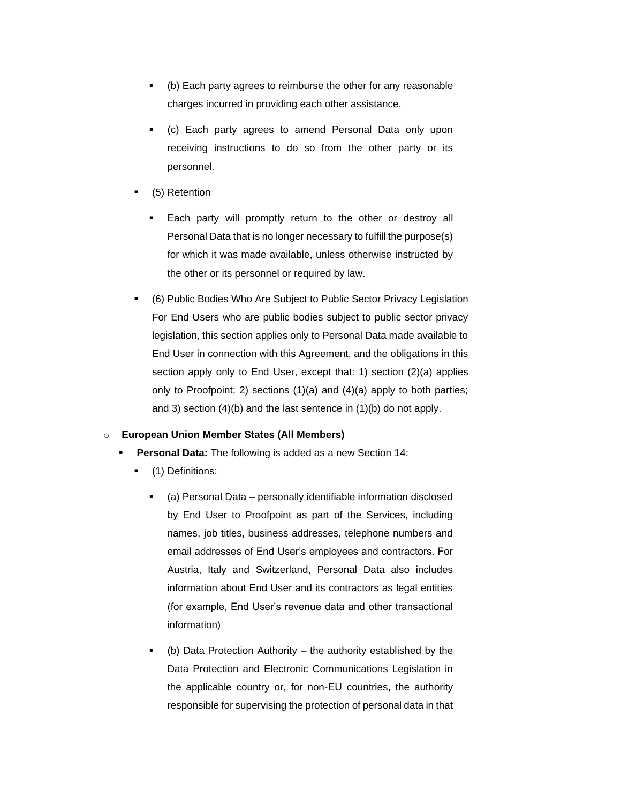- (b) Each party agrees to reimburse the other for any reasonable charges incurred in providing each other assistance.
- (c) Each party agrees to amend Personal Data only upon receiving instructions to do so from the other party or its personnel.
- (5) Retention
	- Each party will promptly return to the other or destroy all Personal Data that is no longer necessary to fulfill the purpose(s) for which it was made available, unless otherwise instructed by the other or its personnel or required by law.
- (6) Public Bodies Who Are Subject to Public Sector Privacy Legislation For End Users who are public bodies subject to public sector privacy legislation, this section applies only to Personal Data made available to End User in connection with this Agreement, and the obligations in this section apply only to End User, except that: 1) section (2)(a) applies only to Proofpoint; 2) sections (1)(a) and (4)(a) apply to both parties; and 3) section (4)(b) and the last sentence in (1)(b) do not apply.

# o **European Union Member States (All Members)**

- **Personal Data:** The following is added as a new Section 14:
	- (1) Definitions:
		- (a) Personal Data personally identifiable information disclosed by End User to Proofpoint as part of the Services, including names, job titles, business addresses, telephone numbers and email addresses of End User's employees and contractors. For Austria, Italy and Switzerland, Personal Data also includes information about End User and its contractors as legal entities (for example, End User's revenue data and other transactional information)
		- $\bullet$  (b) Data Protection Authority the authority established by the Data Protection and Electronic Communications Legislation in the applicable country or, for non-EU countries, the authority responsible for supervising the protection of personal data in that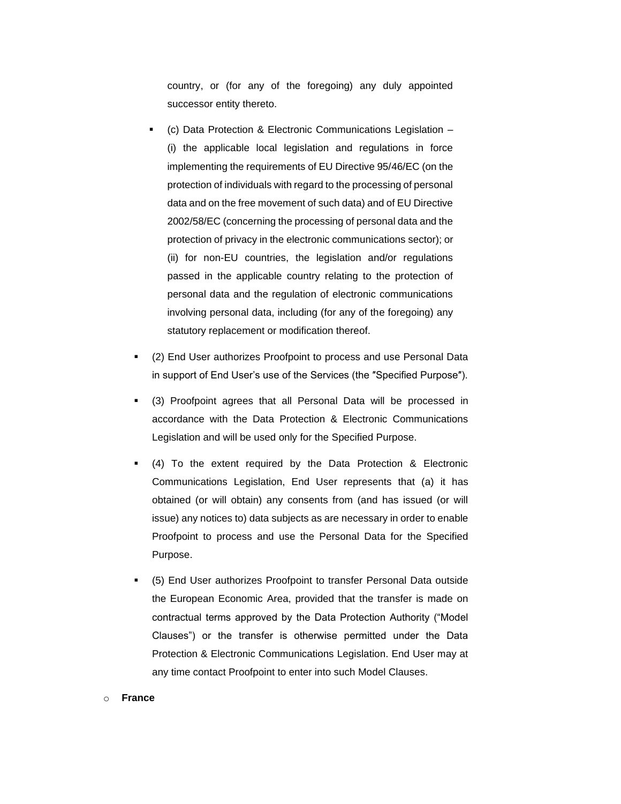country, or (for any of the foregoing) any duly appointed successor entity thereto.

- (c) Data Protection & Electronic Communications Legislation  $-$ (i) the applicable local legislation and regulations in force implementing the requirements of EU Directive 95/46/EC (on the protection of individuals with regard to the processing of personal data and on the free movement of such data) and of EU Directive 2002/58/EC (concerning the processing of personal data and the protection of privacy in the electronic communications sector); or (ii) for non-EU countries, the legislation and/or regulations passed in the applicable country relating to the protection of personal data and the regulation of electronic communications involving personal data, including (for any of the foregoing) any statutory replacement or modification thereof.
- (2) End User authorizes Proofpoint to process and use Personal Data in support of End User's use of the Services (the ″Specified Purpose″).
- (3) Proofpoint agrees that all Personal Data will be processed in accordance with the Data Protection & Electronic Communications Legislation and will be used only for the Specified Purpose.
- $(4)$  To the extent required by the Data Protection & Electronic Communications Legislation, End User represents that (a) it has obtained (or will obtain) any consents from (and has issued (or will issue) any notices to) data subjects as are necessary in order to enable Proofpoint to process and use the Personal Data for the Specified Purpose.
- (5) End User authorizes Proofpoint to transfer Personal Data outside the European Economic Area, provided that the transfer is made on contractual terms approved by the Data Protection Authority ("Model Clauses") or the transfer is otherwise permitted under the Data Protection & Electronic Communications Legislation. End User may at any time contact Proofpoint to enter into such Model Clauses.

### o **France**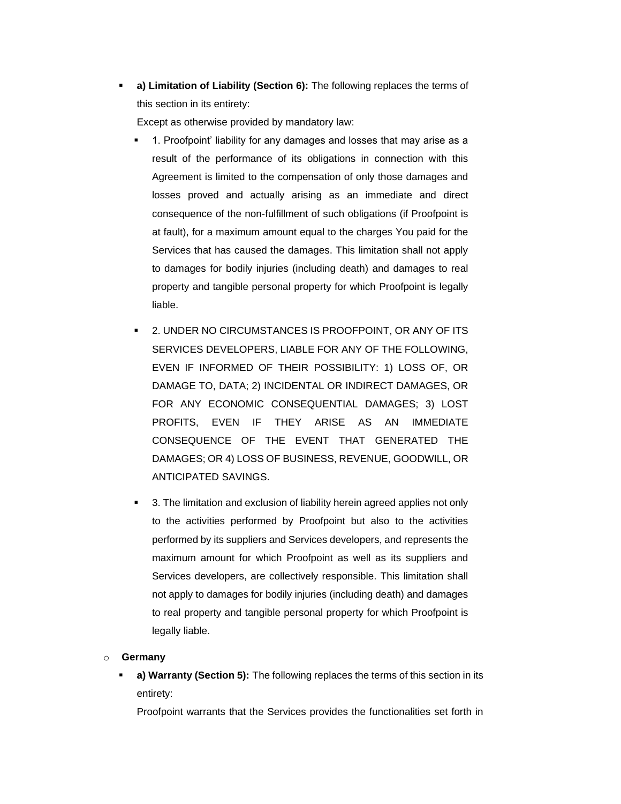a) Limitation of Liability (Section 6): The following replaces the terms of this section in its entirety:

Except as otherwise provided by mandatory law:

- 1. Proofpoint' liability for any damages and losses that may arise as a result of the performance of its obligations in connection with this Agreement is limited to the compensation of only those damages and losses proved and actually arising as an immediate and direct consequence of the non-fulfillment of such obligations (if Proofpoint is at fault), for a maximum amount equal to the charges You paid for the Services that has caused the damages. This limitation shall not apply to damages for bodily injuries (including death) and damages to real property and tangible personal property for which Proofpoint is legally liable.
- 2. UNDER NO CIRCUMSTANCES IS PROOFPOINT, OR ANY OF ITS SERVICES DEVELOPERS, LIABLE FOR ANY OF THE FOLLOWING, EVEN IF INFORMED OF THEIR POSSIBILITY: 1) LOSS OF, OR DAMAGE TO, DATA; 2) INCIDENTAL OR INDIRECT DAMAGES, OR FOR ANY ECONOMIC CONSEQUENTIAL DAMAGES; 3) LOST PROFITS, EVEN IF THEY ARISE AS AN IMMEDIATE CONSEQUENCE OF THE EVENT THAT GENERATED THE DAMAGES; OR 4) LOSS OF BUSINESS, REVENUE, GOODWILL, OR ANTICIPATED SAVINGS.
- 3. The limitation and exclusion of liability herein agreed applies not only to the activities performed by Proofpoint but also to the activities performed by its suppliers and Services developers, and represents the maximum amount for which Proofpoint as well as its suppliers and Services developers, are collectively responsible. This limitation shall not apply to damages for bodily injuries (including death) and damages to real property and tangible personal property for which Proofpoint is legally liable.

# o **Germany**

a) Warranty (Section 5): The following replaces the terms of this section in its entirety:

Proofpoint warrants that the Services provides the functionalities set forth in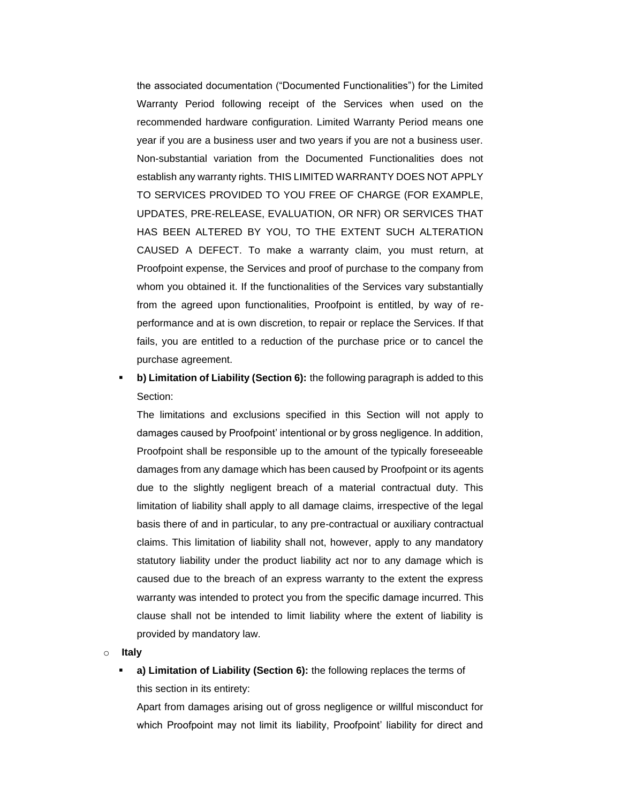the associated documentation ("Documented Functionalities") for the Limited Warranty Period following receipt of the Services when used on the recommended hardware configuration. Limited Warranty Period means one year if you are a business user and two years if you are not a business user. Non-substantial variation from the Documented Functionalities does not establish any warranty rights. THIS LIMITED WARRANTY DOES NOT APPLY TO SERVICES PROVIDED TO YOU FREE OF CHARGE (FOR EXAMPLE, UPDATES, PRE-RELEASE, EVALUATION, OR NFR) OR SERVICES THAT HAS BEEN ALTERED BY YOU, TO THE EXTENT SUCH ALTERATION CAUSED A DEFECT. To make a warranty claim, you must return, at Proofpoint expense, the Services and proof of purchase to the company from whom you obtained it. If the functionalities of the Services vary substantially from the agreed upon functionalities, Proofpoint is entitled, by way of reperformance and at is own discretion, to repair or replace the Services. If that fails, you are entitled to a reduction of the purchase price or to cancel the purchase agreement.

**b) Limitation of Liability (Section 6):** the following paragraph is added to this Section:

The limitations and exclusions specified in this Section will not apply to damages caused by Proofpoint' intentional or by gross negligence. In addition, Proofpoint shall be responsible up to the amount of the typically foreseeable damages from any damage which has been caused by Proofpoint or its agents due to the slightly negligent breach of a material contractual duty. This limitation of liability shall apply to all damage claims, irrespective of the legal basis there of and in particular, to any pre-contractual or auxiliary contractual claims. This limitation of liability shall not, however, apply to any mandatory statutory liability under the product liability act nor to any damage which is caused due to the breach of an express warranty to the extent the express warranty was intended to protect you from the specific damage incurred. This clause shall not be intended to limit liability where the extent of liability is provided by mandatory law.

o **Italy**

a) Limitation of Liability (Section 6): the following replaces the terms of this section in its entirety:

Apart from damages arising out of gross negligence or willful misconduct for which Proofpoint may not limit its liability, Proofpoint' liability for direct and